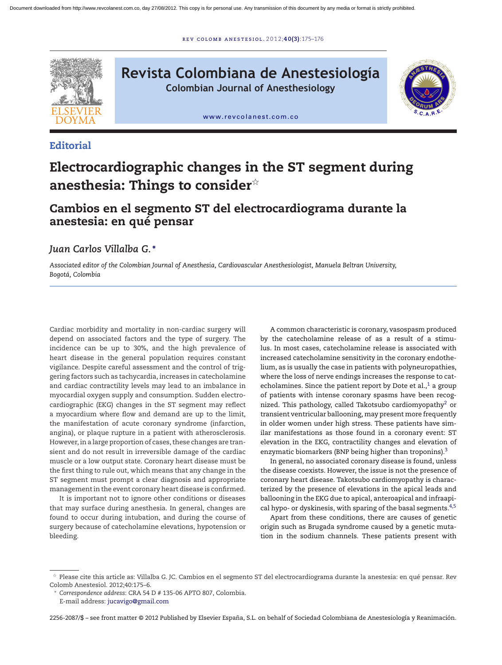r ev [colomb](dx.doi.org/10.1016/j.rcae.2012.06.006) ane s t e s iol . 2 0 1 2;**40(3)**:175–176



**Revista Colombiana de Anestesiología Colombian Journal of Anesthesiology**

[www.revcolanest.com.co](http://www.revcolanest.com.co)



## **Editorial**

# **Electrocardiographic changes in the ST segment during**  $\blacksquare$  anesthesia: Things to consider $^\star$

**Cambios en el segmento ST del electrocardiograma durante la anestesia: en qué pensar**

## *Juan Carlos Villalba G.* **<sup>∗</sup>**

*Associated editor of the Colombian Journal of Anesthesia, Cardiovascular Anesthesiologist, Manuela Beltran University, Bogotá, Colombia*

Cardiac morbidity and mortality in non-cardiac surgery will depend on associated factors and the type of surgery. The incidence can be up to 30%, and the high prevalence of heart disease in the general population requires constant vigilance. Despite careful assessment and the control of triggering factors such as tachycardia, increases in catecholamine and cardiac contractility levels may lead to an imbalance in myocardial oxygen supply and consumption. Sudden electrocardiographic (EKG) changes in the ST segment may reflect a myocardium where flow and demand are up to the limit, the manifestation of acute coronary syndrome (infarction, angina), or plaque rupture in a patient with atherosclerosis. However, in a large proportion of cases, these changes are transient and do not result in irreversible damage of the cardiac muscle or a low output state. Coronary heart disease must be the first thing to rule out, which means that any change in the ST segment must prompt a clear diagnosis and appropriate managementin the event coronary heart disease is confirmed.

It is important not to ignore other conditions or diseases that may surface during anesthesia. In general, changes are found to occur during intubation, and during the course of surgery because of catecholamine elevations, hypotension or bleeding.

A common characteristic is coronary, vasospasm produced by the catecholamine release of as a result of a stimulus. In most cases, catecholamine release is associated with increased catecholamine sensitivity in the coronary endothelium, as is usually the case in patients with polyneuropathies, where the loss of nerve endings increases the response to catecholamines. Since the patient report by Dote et al., $1$  a group of patients with intense coronary spasms have been recognized. This pathology, called Takotsubo cardiomyopathy<sup>2</sup> or transient ventricular ballooning, may present more frequently in older women under high stress. These patients have similar manifestations as those found in a coronary event: ST elevation in the EKG, contractility changes and elevation of enzymatic biomarkers (BNP being higher than troponins).<sup>[3](#page-1-0)</sup>

In general, no associated coronary disease is found, unless the disease coexists. However, the issue is not the presence of coronary heart disease. Takotsubo cardiomyopathy is characterized by the presence of elevations in the apical leads and ballooning in the EKG due to apical, anteroapical and infraapical hypo- or dyskinesis, with sparing of the basal segments.  $4,5$ 

Apart from these conditions, there are causes of genetic origin such as Brugada syndrome caused by a genetic mutation in the sodium channels. These patients present with

2256-2087/\$ – see front matter © 2012 Published by Elsevier España, S.L. on behalf of Sociedad Colombiana de Anestesiología y Reanimación.

 $^\star$  Please cite this article as: Villalba G. JC. Cambios en el segmento ST del electrocardiograma durante la anestesia: en qué pensar. Rev Colomb Anestesiol. 2012;40:175–6.

<sup>∗</sup> *Correspondence address*: CRA 54 D # 135-06 APTO 807, Colombia.

E-mail address: [jucavigo@gmail.com](mailto:jucavigo@gmail.com)